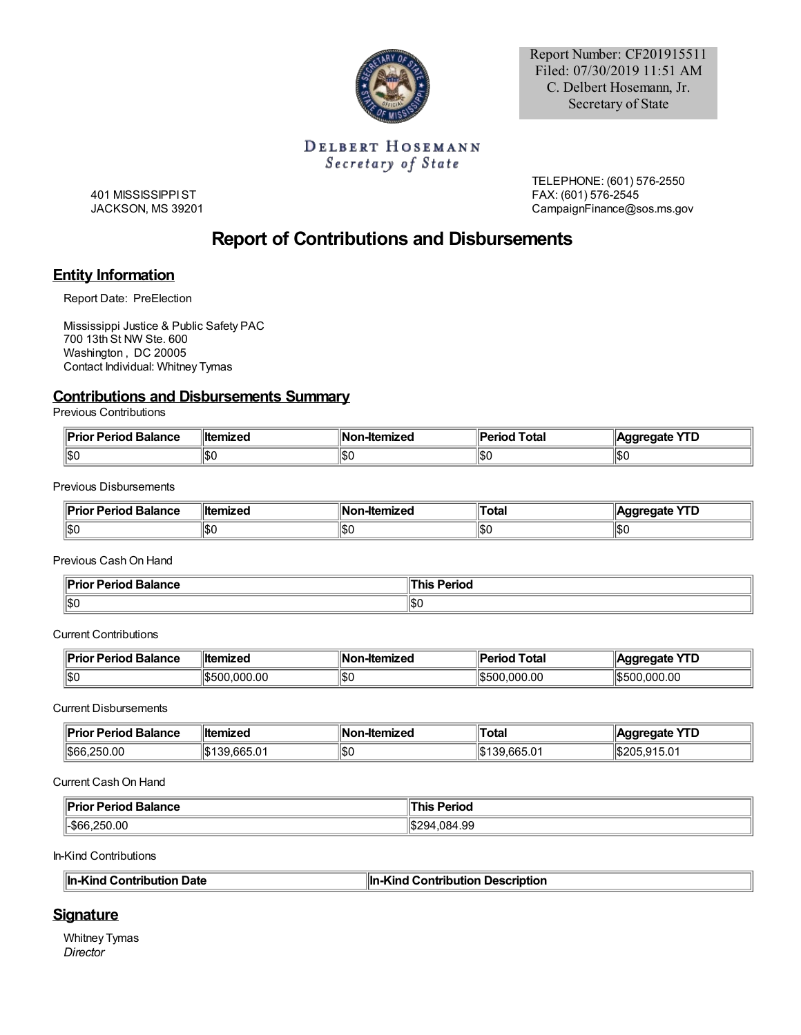

Report Number: CF201915511 Filed: 07/30/2019 11:51 AM C. Delbert Hosemann, Jr. Secretary of State

## **DELBERT HOSEMANN** Secretary of State

401 MISSISSIPPIST JACKSON, MS 39201 TELEPHONE: (601) 576-2550 FAX: (601) 576-2545 CampaignFinance@sos.ms.gov

# **Report of Contributions and Disbursements**

# **Entity Information**

Report Date: PreElection

Mississippi Justice & Public Safety PAC 700 13th St NW Ste. 600 Washington , DC 20005 Contact Individual: Whitney Tymas

# **Contributions and Disbursements Summary**

Previous Contributions

| $\ $ Prio<br><b>Period Balance</b> | ⊪ltemized | -Itemized<br>INOI<br>., | ື <sup>ດ</sup> eriod ∟<br>`otal | …edate *<br>טו<br>-- |
|------------------------------------|-----------|-------------------------|---------------------------------|----------------------|
| 11\$0                              | 11\$C     | ا ت∪                    | 11\$C                           | 11\$C                |

Previous Disbursements

| ïв.<br>-----<br>ılanec<br>ш. | llt<br>---- | <br>.cu | Total<br>. | ю<br>ட |
|------------------------------|-------------|---------|------------|--------|
| $\parallel$ \$0              | m c<br>ا⊅ر  | 11SC    | յու        | \$C    |

Previous CashOn Hand

| ‼n≓<br>.<br>-------<br>saiance<br> | ania<br>טו י |
|------------------------------------|--------------|
| ∥\$0                               | ⊪ນເ          |

#### Current Contributions

| <b>ior Period Balance</b><br>'rıo | ⊪ltemizec<br>mizeu | ∥Nor<br>n-Itemized | Total      | YTD<br>uate<br>-- |
|-----------------------------------|--------------------|--------------------|------------|-------------------|
| 11SC                              | 000.00.            | 11\$0              | 500.000.00 | 00.000.00<br>IS50 |

Current Disbursements

| Prior<br>r Period Balance | ⊪ltemized                           | n-Itemized<br>⊟Ne≝ | <b>∣Total</b>               | <b>VTD</b><br>nareaate<br>. I D       |
|---------------------------|-------------------------------------|--------------------|-----------------------------|---------------------------------------|
| \$66,250,00               | $\sim$<br>$\sim$<br><b>AM-005.U</b> | lisc               | $\sim$<br>$\sim$<br>.665.U* | Q <sub>15</sub> 01<br>⊪ວ∠ບວ.ອ<br>ט.טו |

#### Current CashOn Hand

| <b>Prior Period Balance</b>      | Period<br>nıs        |
|----------------------------------|----------------------|
| .250.00<br>$\frac{4.566}{5.000}$ | . 99<br>.084.<br>⁄ ت |

### In-Kind Contributions

| <b>In-Kind Contribution Date</b> | <b>-Kind Contribution Description</b><br>∐n≞. |
|----------------------------------|-----------------------------------------------|
|----------------------------------|-----------------------------------------------|

## **Signature**

Whitney Tymas *Director*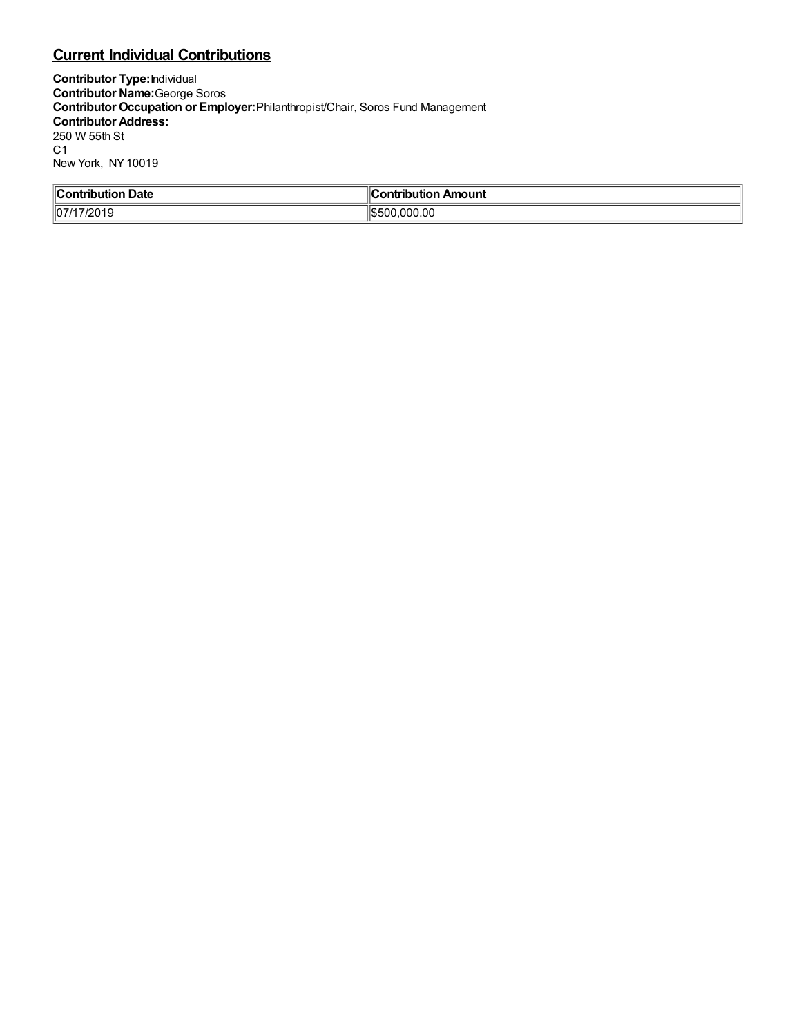# **Current Individual Contributions**

**Contributor Type:**Individual **Contributor Name:**George Soros **Contributor Occupation or Employer:**Philanthropist/Chair, Soros Fund Management **Contributor Address:** 250 W 55th St C1 New York, NY10019

| ∥Cor                   | --                   |
|------------------------|----------------------|
| --                     | n Amount             |
| ontribution Date       | <b>∠ontributio</b> r |
| $\vert 07/1$<br>7/2019 | ,000.00<br>500<br>יי |